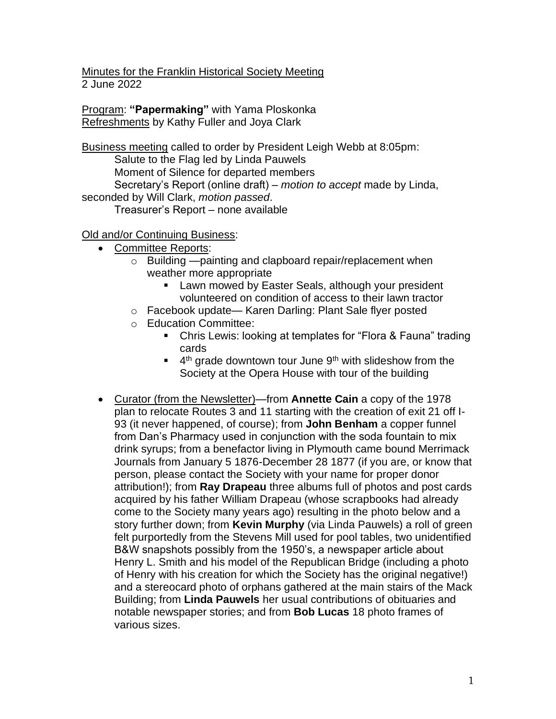Minutes for the Franklin Historical Society Meeting 2 June 2022

Program: **"Papermaking"** with Yama Ploskonka Refreshments by Kathy Fuller and Joya Clark

Business meeting called to order by President Leigh Webb at 8:05pm: Salute to the Flag led by Linda Pauwels Moment of Silence for departed members Secretary's Report (online draft) – *motion to accept* made by Linda, seconded by Will Clark, *motion passed*. Treasurer's Report – none available

Old and/or Continuing Business:

- Committee Reports:
	- o Building —painting and clapboard repair/replacement when weather more appropriate
		- Lawn mowed by Easter Seals, although your president volunteered on condition of access to their lawn tractor
	- o Facebook update— Karen Darling: Plant Sale flyer posted
	- o Education Committee:
		- Chris Lewis: looking at templates for "Flora & Fauna" trading cards
		- $\blacksquare$  4<sup>th</sup> grade downtown tour June 9<sup>th</sup> with slideshow from the Society at the Opera House with tour of the building
- Curator (from the Newsletter)—from **Annette Cain** a copy of the 1978 plan to relocate Routes 3 and 11 starting with the creation of exit 21 off I-93 (it never happened, of course); from **John Benham** a copper funnel from Dan's Pharmacy used in conjunction with the soda fountain to mix drink syrups; from a benefactor living in Plymouth came bound Merrimack Journals from January 5 1876-December 28 1877 (if you are, or know that person, please contact the Society with your name for proper donor attribution!); from **Ray Drapeau** three albums full of photos and post cards acquired by his father William Drapeau (whose scrapbooks had already come to the Society many years ago) resulting in the photo below and a story further down; from **Kevin Murphy** (via Linda Pauwels) a roll of green felt purportedly from the Stevens Mill used for pool tables, two unidentified B&W snapshots possibly from the 1950's, a newspaper article about Henry L. Smith and his model of the Republican Bridge (including a photo of Henry with his creation for which the Society has the original negative!) and a stereocard photo of orphans gathered at the main stairs of the Mack Building; from **Linda Pauwels** her usual contributions of obituaries and notable newspaper stories; and from **Bob Lucas** 18 photo frames of various sizes.